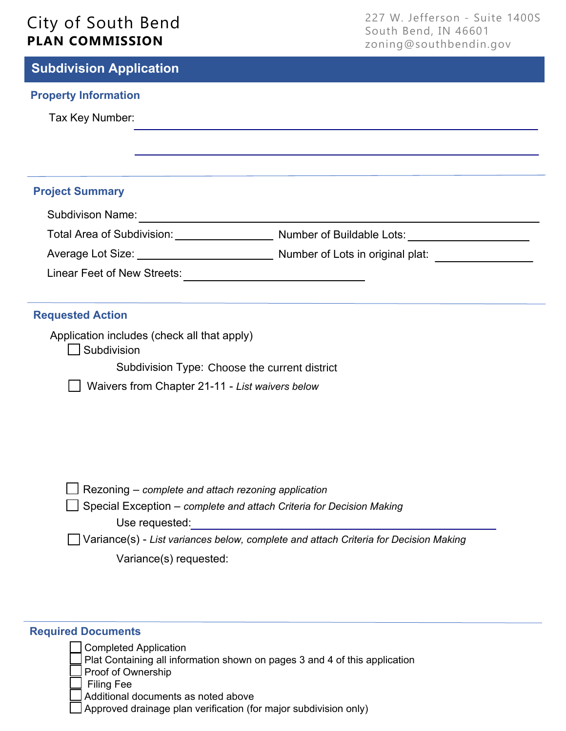# City of South Bend **PLAN COMMISSION**

227 W. Jefferson - Suite 1400S South Bend, IN 46601 zoning@southbendin.gov

| <b>Subdivision Application</b> |  |
|--------------------------------|--|
|--------------------------------|--|

## **Property Information**

Tax Key Number:

## **Project Summary**

| <b>Subdivison Name:</b>     |                                  |
|-----------------------------|----------------------------------|
| Total Area of Subdivision:  | Number of Buildable Lots:        |
| Average Lot Size:           | Number of Lots in original plat: |
| Linear Feet of New Streets: |                                  |

## **Requested Action**

Application includes (check all that apply)

Subdivision

Subdivision Type: Choose the current district

Waivers from Chapter 21-11 - *List waivers below*

| $\Box$ Rezoning – complete and attach rezoning application                             |
|----------------------------------------------------------------------------------------|
| $\Box$ Special Exception – complete and attach Criteria for Decision Making            |
| Use requested:                                                                         |
| □ Variance(s) - List variances below, complete and attach Criteria for Decision Making |

Variance(s) requested:

## **Required Documents**

Completed Application Plat Containing all information shown on pages 3 and 4 of this application Proof of Ownership Filing Fee Additional documents as noted above Approved drainage plan verification (for major subdivision only)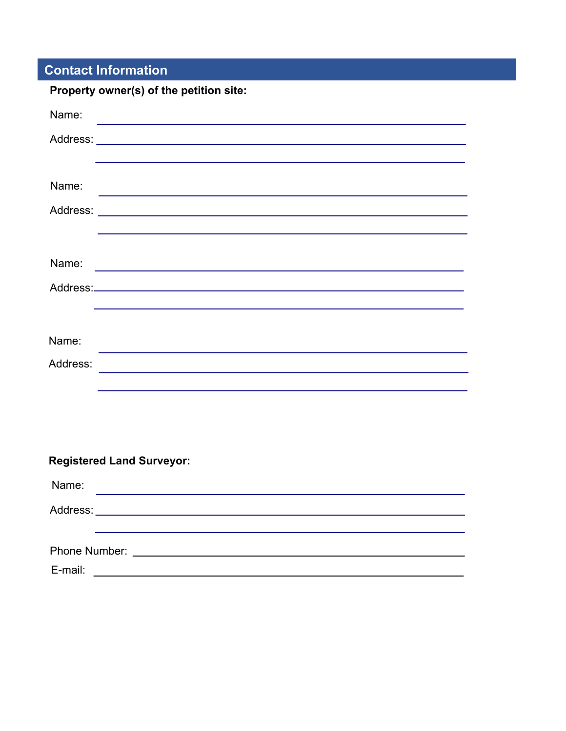## **Contact Information**

| Property owner(s) of the petition site:                                                                                       |
|-------------------------------------------------------------------------------------------------------------------------------|
| Name:<br><u> 1980 - Johann Barn, amerikan berkeman (h. 1980).</u>                                                             |
|                                                                                                                               |
|                                                                                                                               |
| Name:<br>the contract of the contract of the contract of the contract of the contract of the contract of                      |
|                                                                                                                               |
|                                                                                                                               |
| Name:<br><u> 1989 - Johann John Stein, marwolaeth a bhann an t-Amhainn an t-Amhainn an t-Amhainn an t-Amhainn an t-Amhain</u> |
|                                                                                                                               |
|                                                                                                                               |
|                                                                                                                               |
| Name:                                                                                                                         |
| Address:                                                                                                                      |
|                                                                                                                               |
|                                                                                                                               |
|                                                                                                                               |
| <b>Registered Land Surveyor:</b>                                                                                              |
|                                                                                                                               |
| Name:                                                                                                                         |

| .       |  |  |  |
|---------|--|--|--|
|         |  |  |  |
|         |  |  |  |
|         |  |  |  |
| E-mail: |  |  |  |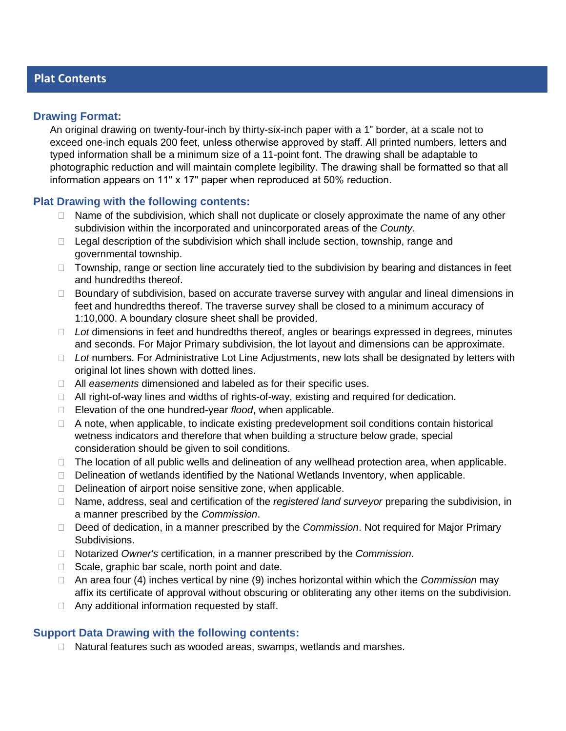## **Plat Contents**

## **Drawing Format:**

An original drawing on twenty-four-inch by thirty-six-inch paper with a 1" border, at a scale not to exceed one-inch equals 200 feet, unless otherwise approved by staff. All printed numbers, letters and typed information shall be a minimum size of a 11-point font. The drawing shall be adaptable to photographic reduction and will maintain complete legibility. The drawing shall be formatted so that all information appears on 11" x 17" paper when reproduced at 50% reduction.

## **Plat Drawing with the following contents:**

- $\Box$  Name of the subdivision, which shall not duplicate or closely approximate the name of any other subdivision within the incorporated and unincorporated areas of the *County*.
- $\Box$  Legal description of the subdivision which shall include section, township, range and governmental township.
- $\Box$  Township, range or section line accurately tied to the subdivision by bearing and distances in feet and hundredths thereof.
- $\Box$  Boundary of subdivision, based on accurate traverse survey with angular and lineal dimensions in feet and hundredths thereof. The traverse survey shall be closed to a minimum accuracy of 1:10,000. A boundary closure sheet shall be provided.
- *Lot* dimensions in feet and hundredths thereof, angles or bearings expressed in degrees, minutes and seconds. For Major Primary subdivision, the lot layout and dimensions can be approximate.
- □ Lot numbers. For Administrative Lot Line Adiustments, new lots shall be designated by letters with original lot lines shown with dotted lines.
- All *easements* dimensioned and labeled as for their specific uses.
- All right-of-way lines and widths of rights-of-way, existing and required for dedication.
- Elevation of the one hundred-year *flood*, when applicable.
- $\Box$  A note, when applicable, to indicate existing predevelopment soil conditions contain historical wetness indicators and therefore that when building a structure below grade, special consideration should be given to soil conditions.
- $\Box$  The location of all public wells and delineation of any wellhead protection area, when applicable.
- $\Box$  Delineation of wetlands identified by the National Wetlands Inventory, when applicable.
- $\Box$  Delineation of airport noise sensitive zone, when applicable.
- Name, address, seal and certification of the *registered land surveyor* preparing the subdivision, in a manner prescribed by the *Commission*.
- Deed of dedication, in a manner prescribed by the *Commission*. Not required for Major Primary Subdivisions.
- Notarized *Owner's* certification, in a manner prescribed by the *Commission*.
- $\Box$  Scale, graphic bar scale, north point and date.
- An area four (4) inches vertical by nine (9) inches horizontal within which the *Commission* may affix its certificate of approval without obscuring or obliterating any other items on the subdivision.
- $\Box$  Any additional information requested by staff.

## **Support Data Drawing with the following contents:**

 $\Box$  Natural features such as wooded areas, swamps, wetlands and marshes.